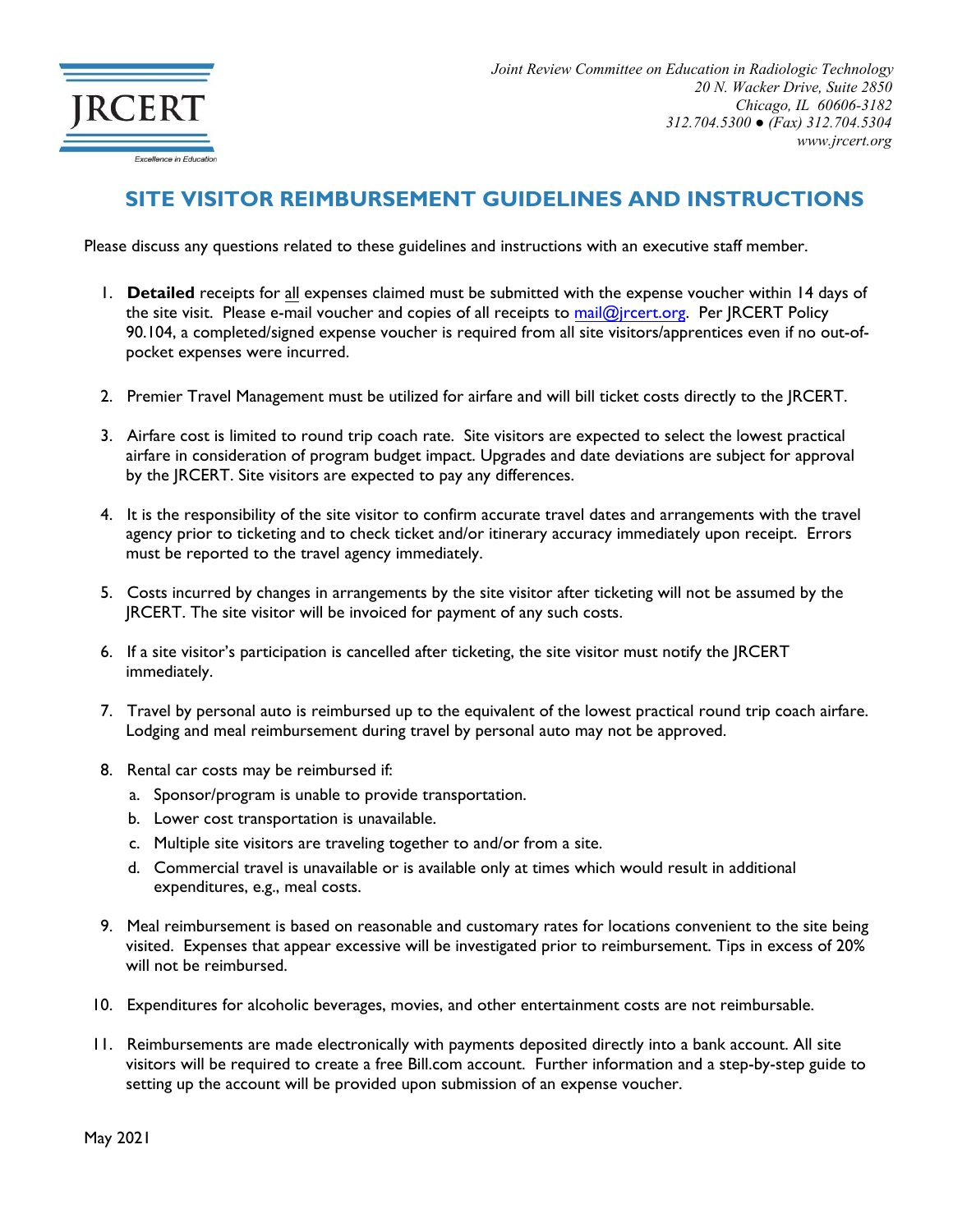

## **SITE VISITOR REIMBURSEMENT GUIDELINES AND INSTRUCTIONS**

Please discuss any questions related to these guidelines and instructions with an executive staff member.

- 1. **Detailed** receipts for all expenses claimed must be submitted with the expense voucher within 14 days of the site visit. Please e-mail voucher and copies of all receipts t[o mail@jrcert.org.](mailto:mail@jrcert.org) Per JRCERT Policy 90.104, a completed/signed expense voucher is required from all site visitors/apprentices even if no out-ofpocket expenses were incurred.
- 2. Premier Travel Management must be utilized for airfare and will bill ticket costs directly to the JRCERT.
- 3. Airfare cost is limited to round trip coach rate. Site visitors are expected to select the lowest practical airfare in consideration of program budget impact. Upgrades and date deviations are subject for approval by the JRCERT. Site visitors are expected to pay any differences.
- 4. It is the responsibility of the site visitor to confirm accurate travel dates and arrangements with the travel agency prior to ticketing and to check ticket and/or itinerary accuracy immediately upon receipt. Errors must be reported to the travel agency immediately.
- 5. Costs incurred by changes in arrangements by the site visitor after ticketing will not be assumed by the JRCERT. The site visitor will be invoiced for payment of any such costs.
- 6. If a site visitor's participation is cancelled after ticketing, the site visitor must notify the JRCERT immediately.
- 7. Travel by personal auto is reimbursed up to the equivalent of the lowest practical round trip coach airfare. Lodging and meal reimbursement during travel by personal auto may not be approved.
- 8. Rental car costs may be reimbursed if:
	- a. Sponsor/program is unable to provide transportation.
	- b. Lower cost transportation is unavailable.
	- c. Multiple site visitors are traveling together to and/or from a site.
	- d. Commercial travel is unavailable or is available only at times which would result in additional expenditures, e.g., meal costs.
- 9. Meal reimbursement is based on reasonable and customary rates for locations convenient to the site being visited. Expenses that appear excessive will be investigated prior to reimbursement. Tips in excess of 20% will not be reimbursed.
- 10. Expenditures for alcoholic beverages, movies, and other entertainment costs are not reimbursable.
- 11. Reimbursements are made electronically with payments deposited directly into a bank account. All site visitors will be required to create a free Bill.com account. Further information and a step-by-step guide to setting up the account will be provided upon submission of an expense voucher.